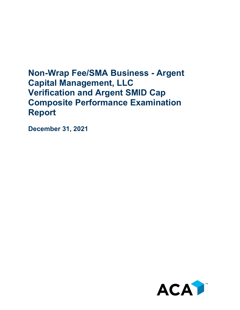## **Non-Wrap Fee/SMA Business - Argent Capital Management, LLC Verification and Argent SMID Cap Composite Performance Examination Report**

**December 31, 2021**

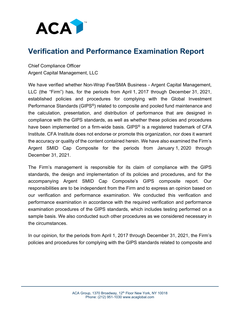

## **Verification and Performance Examination Report**

Chief Compliance Officer Argent Capital Management, LLC

We have verified whether Non-Wrap Fee/SMA Business - Argent Capital Management, LLC (the "Firm") has, for the periods from April 1, 2017 through December 31, 2021, established policies and procedures for complying with the Global Investment Performance Standards (GIPS®) related to composite and pooled fund maintenance and the calculation, presentation, and distribution of performance that are designed in compliance with the GIPS standards, as well as whether these policies and procedures have been implemented on a firm-wide basis. GIPS<sup>®</sup> is a registered trademark of CFA Institute. CFA Institute does not endorse or promote this organization, nor does it warrant the accuracy or quality of the content contained herein. We have also examined the Firm's Argent SMID Cap Composite for the periods from January 1, 2020 through December 31, 2021.

The Firm's management is responsible for its claim of compliance with the GIPS standards, the design and implementation of its policies and procedures, and for the accompanying Argent SMID Cap Composite's GIPS composite report. Our responsibilities are to be independent from the Firm and to express an opinion based on our verification and performance examination. We conducted this verification and performance examination in accordance with the required verification and performance examination procedures of the GIPS standards, which includes testing performed on a sample basis. We also conducted such other procedures as we considered necessary in the circumstances.

In our opinion, for the periods from April 1, 2017 through December 31, 2021, the Firm's policies and procedures for complying with the GIPS standards related to composite and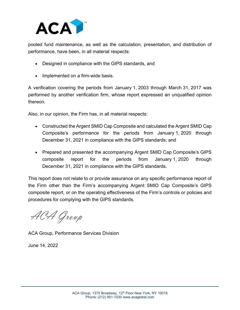

pooled fund maintenance, as well as the calculation, presentation, and distribution of performance, have been, in all material respects:

- Designed in compliance with the GIPS standards, and
- Implemented on a firm-wide basis.

A verification covering the periods from January 1, 2003 through March 31, 2017 was performed by another verification firm, whose report expressed an unqualified opinion thereon.

Also, in our opinion, the Firm has, in all material respects:

- Constructed the Argent SMID Cap Composite and calculated the Argent SMID Cap Composite's performance for the periods from January 1, 2020 through December 31, 2021 in compliance with the GIPS standards; and
- Prepared and presented the accompanying Argent SMID Cap Composite's GIPS composite report for the periods from January 1, 2020 through December 31, 2021 in compliance with the GIPS standards.

This report does not relate to or provide assurance on any specific performance report of the Firm other than the Firm's accompanying Argent SMID Cap Composite's GIPS composite report, or on the operating effectiveness of the Firm's controls or policies and procedures for complying with the GIPS standards.

ACA Group

ACA Group, Performance Services Division

June 14, 2022